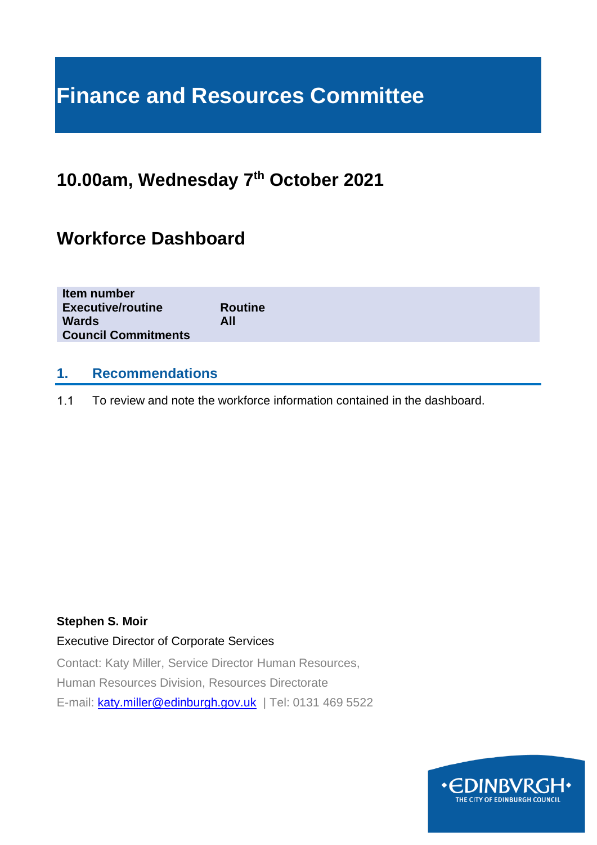# **Finance and Resources Committee**

# **10.00am, Wednesday 7 th October 2021**

# **Workforce Dashboard**

| Item number<br><b>Executive/routine</b><br><b>Wards</b><br><b>Council Commitments</b> | <b>Routine</b><br>All |  |  |
|---------------------------------------------------------------------------------------|-----------------------|--|--|
|                                                                                       |                       |  |  |

### **1. Recommendations**

 $1.1$ To review and note the workforce information contained in the dashboard.

### **Stephen S. Moir**

### Executive Director of Corporate Services

Contact: Katy Miller, Service Director Human Resources, Human Resources Division, Resources Directorate E-mail: [katy.miller@edinburgh.gov.uk](mailto:katy.miller@edinburgh.gov.uk) | Tel: 0131 469 5522

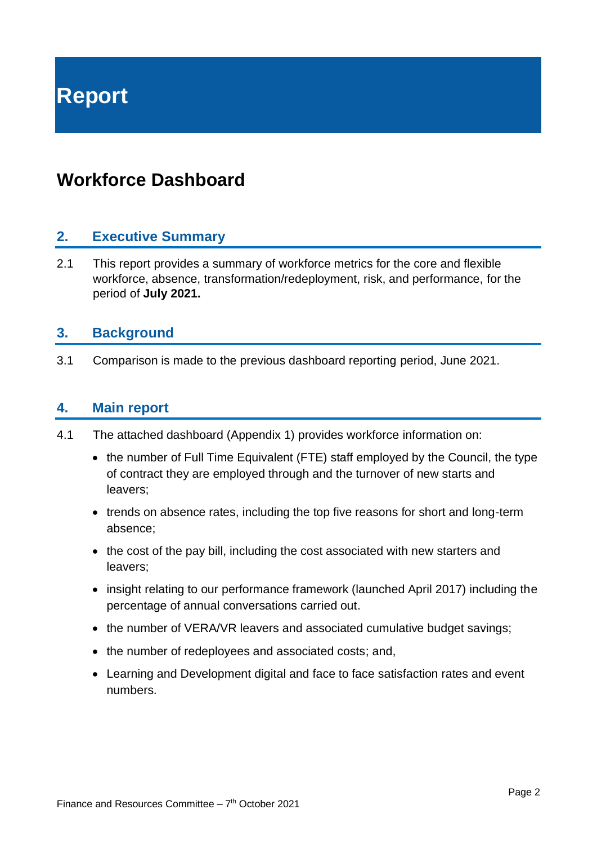**Report**

# **Workforce Dashboard**

### **2. Executive Summary**

2.1 This report provides a summary of workforce metrics for the core and flexible workforce, absence, transformation/redeployment, risk, and performance, for the period of **July 2021.**

### **3. Background**

3.1 Comparison is made to the previous dashboard reporting period, June 2021.

### **4. Main report**

- 4.1 The attached dashboard (Appendix 1) provides workforce information on:
	- the number of Full Time Equivalent (FTE) staff employed by the Council, the type of contract they are employed through and the turnover of new starts and leavers;
	- trends on absence rates, including the top five reasons for short and long-term absence;
	- the cost of the pay bill, including the cost associated with new starters and leavers;
	- insight relating to our performance framework (launched April 2017) including the percentage of annual conversations carried out.
	- the number of VERA/VR leavers and associated cumulative budget savings;
	- the number of redeployees and associated costs; and,
	- Learning and Development digital and face to face satisfaction rates and event numbers.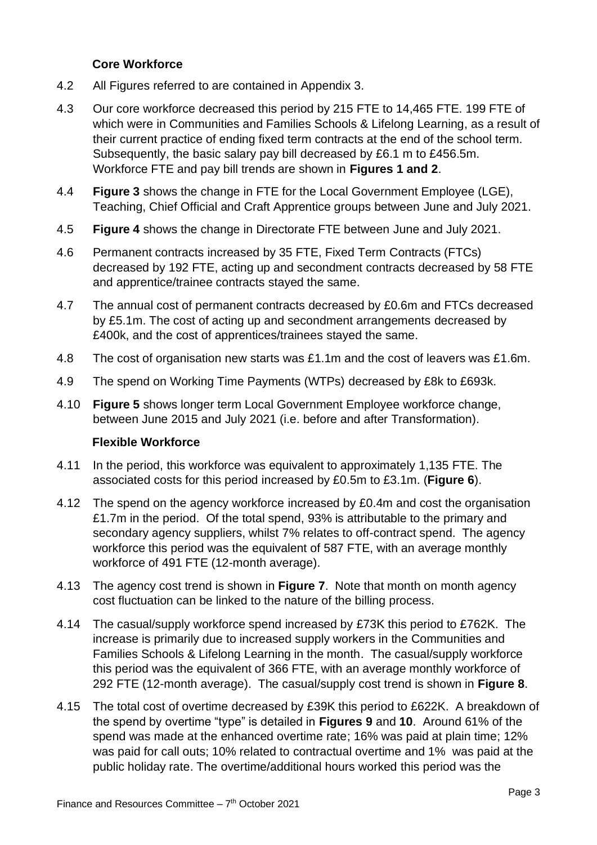### **Core Workforce**

- 4.2 All Figures referred to are contained in Appendix 3.
- 4.3 Our core workforce decreased this period by 215 FTE to 14,465 FTE. 199 FTE of which were in Communities and Families Schools & Lifelong Learning, as a result of their current practice of ending fixed term contracts at the end of the school term. Subsequently, the basic salary pay bill decreased by £6.1 m to £456.5m. Workforce FTE and pay bill trends are shown in **Figures 1 and 2**.
- 4.4 **Figure 3** shows the change in FTE for the Local Government Employee (LGE), Teaching, Chief Official and Craft Apprentice groups between June and July 2021.
- 4.5 **Figure 4** shows the change in Directorate FTE between June and July 2021.
- 4.6 Permanent contracts increased by 35 FTE, Fixed Term Contracts (FTCs) decreased by 192 FTE, acting up and secondment contracts decreased by 58 FTE and apprentice/trainee contracts stayed the same.
- 4.7 The annual cost of permanent contracts decreased by £0.6m and FTCs decreased by £5.1m. The cost of acting up and secondment arrangements decreased by £400k, and the cost of apprentices/trainees stayed the same.
- 4.8 The cost of organisation new starts was £1.1m and the cost of leavers was £1.6m.
- 4.9 The spend on Working Time Payments (WTPs) decreased by £8k to £693k.
- 4.10 **Figure 5** shows longer term Local Government Employee workforce change, between June 2015 and July 2021 (i.e. before and after Transformation).

### **Flexible Workforce**

- 4.11 In the period, this workforce was equivalent to approximately 1,135 FTE. The associated costs for this period increased by £0.5m to £3.1m. (**Figure 6**).
- 4.12 The spend on the agency workforce increased by £0.4m and cost the organisation £1.7m in the period. Of the total spend, 93% is attributable to the primary and secondary agency suppliers, whilst 7% relates to off-contract spend. The agency workforce this period was the equivalent of 587 FTE, with an average monthly workforce of 491 FTE (12-month average).
- 4.13 The agency cost trend is shown in **Figure 7**. Note that month on month agency cost fluctuation can be linked to the nature of the billing process.
- 4.14 The casual/supply workforce spend increased by £73K this period to £762K. The increase is primarily due to increased supply workers in the Communities and Families Schools & Lifelong Learning in the month. The casual/supply workforce this period was the equivalent of 366 FTE, with an average monthly workforce of 292 FTE (12-month average). The casual/supply cost trend is shown in **Figure 8**.
- 4.15 The total cost of overtime decreased by £39K this period to £622K. A breakdown of the spend by overtime "type" is detailed in **Figures 9** and **10**. Around 61% of the spend was made at the enhanced overtime rate; 16% was paid at plain time; 12% was paid for call outs; 10% related to contractual overtime and 1% was paid at the public holiday rate. The overtime/additional hours worked this period was the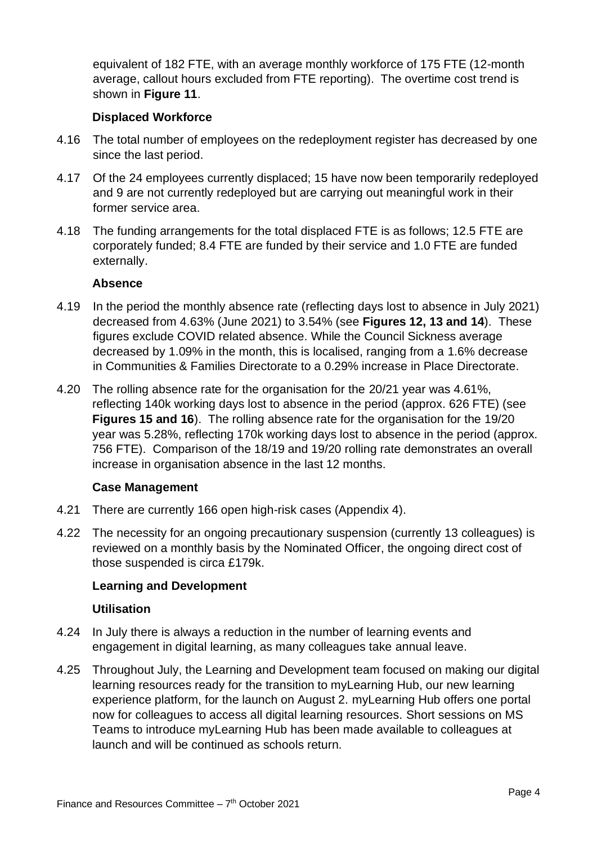equivalent of 182 FTE, with an average monthly workforce of 175 FTE (12-month average, callout hours excluded from FTE reporting). The overtime cost trend is shown in **Figure 11**.

### **Displaced Workforce**

- 4.16 The total number of employees on the redeployment register has decreased by one since the last period.
- 4.17 Of the 24 employees currently displaced; 15 have now been temporarily redeployed and 9 are not currently redeployed but are carrying out meaningful work in their former service area.
- 4.18 The funding arrangements for the total displaced FTE is as follows; 12.5 FTE are corporately funded; 8.4 FTE are funded by their service and 1.0 FTE are funded externally.

### **Absence**

- 4.19 In the period the monthly absence rate (reflecting days lost to absence in July 2021) decreased from 4.63% (June 2021) to 3.54% (see **Figures 12, 13 and 14**). These figures exclude COVID related absence. While the Council Sickness average decreased by 1.09% in the month, this is localised, ranging from a 1.6% decrease in Communities & Families Directorate to a 0.29% increase in Place Directorate.
- 4.20 The rolling absence rate for the organisation for the 20/21 year was 4.61%, reflecting 140k working days lost to absence in the period (approx. 626 FTE) (see **Figures 15 and 16**). The rolling absence rate for the organisation for the 19/20 year was 5.28%, reflecting 170k working days lost to absence in the period (approx. 756 FTE). Comparison of the 18/19 and 19/20 rolling rate demonstrates an overall increase in organisation absence in the last 12 months.

### **Case Management**

- 4.21 There are currently 166 open high-risk cases (Appendix 4).
- 4.22 The necessity for an ongoing precautionary suspension (currently 13 colleagues) is reviewed on a monthly basis by the Nominated Officer, the ongoing direct cost of those suspended is circa £179k.

### **Learning and Development**

### **Utilisation**

- 4.24 In July there is always a reduction in the number of learning events and engagement in digital learning, as many colleagues take annual leave.
- 4.25 Throughout July, the Learning and Development team focused on making our digital learning resources ready for the transition to myLearning Hub, our new learning experience platform, for the launch on August 2. myLearning Hub offers one portal now for colleagues to access all digital learning resources. Short sessions on MS Teams to introduce myLearning Hub has been made available to colleagues at launch and will be continued as schools return.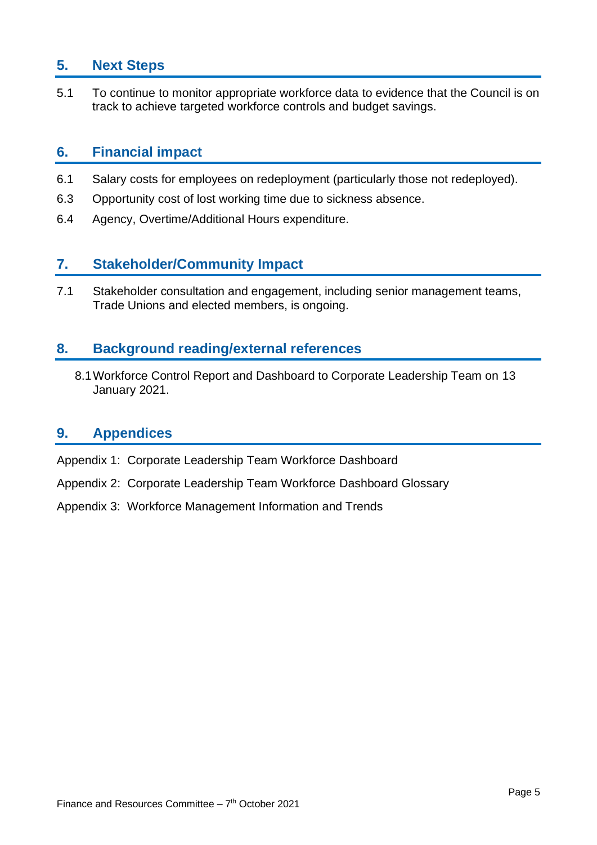### **5. Next Steps**

5.1 To continue to monitor appropriate workforce data to evidence that the Council is on track to achieve targeted workforce controls and budget savings.

### **6. Financial impact**

- 6.1 Salary costs for employees on redeployment (particularly those not redeployed).
- 6.3 Opportunity cost of lost working time due to sickness absence.
- 6.4 Agency, Overtime/Additional Hours expenditure.

### **7. Stakeholder/Community Impact**

7.1 Stakeholder consultation and engagement, including senior management teams, Trade Unions and elected members, is ongoing.

### **8. Background reading/external references**

8.1Workforce Control Report and Dashboard to Corporate Leadership Team on 13 January 2021.

### **9. Appendices**

- Appendix 1: Corporate Leadership Team Workforce Dashboard
- Appendix 2: Corporate Leadership Team Workforce Dashboard Glossary
- Appendix 3: Workforce Management Information and Trends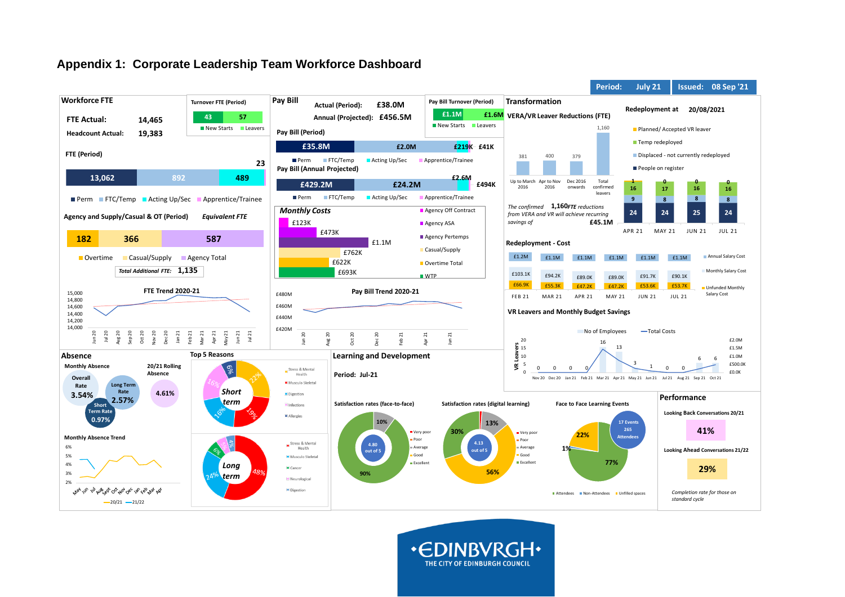### **Appendix 1: Corporate Leadership Team Workforce Dashboard**



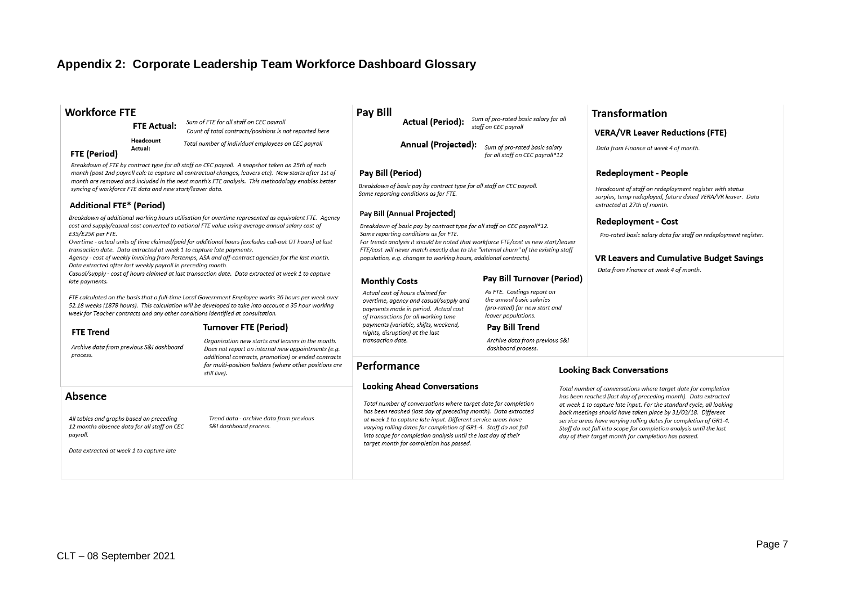### **Appendix 2: Corporate Leadership Team Workforce Dashboard Glossary**

### **Workforce FTE**

**FTE Actual:** 

Headcount

Actual:

Sum of FTE for all staff on CEC payroll Count of total contracts/positions is not reported here

Total number of individual employees on CEC payroll

#### **FTE (Period)**

Breakdown of FTE by contract type for all staff on CEC payroll. A snapshot taken on 25th of each month (post 2nd payroll calc to capture all contractual changes, leavers etc). New starts after 1st of month are removed and included in the next month's FTE analysis. This methodology enables better syncing of workforce FTE data and new start/leaver data.

#### **Additional FTE\* (Period)**

Breakdown of additional working hours utilisation for overtime represented as equivalent FTE. Agency cost and supply/casual cost converted to notional FTE value using average annual salary cost of £35/£25K per FTE.

Overtime - actual units of time claimed/paid for additional hours (excludes call-out OT hours) at last transaction date. Data extracted at week 1 to capture late payments.

Agency - cost of weekly invoicing from Pertemps, ASA and off-contract agencies for the last month. Data extracted after last weekly payroll in preceding month.

Casual/supply - cost of hours claimed at last transaction date. Data extracted at week 1 to capture late payments.

FTE calculated on the basis that a full-time Local Government Employee works 36 hours per week over 52.18 weeks (1878 hours). This calculation will be developed to take into account a 35 hour working week for Teacher contracts and any other conditions identified at consultation.

#### **Turnover FTE (Period)**

Archive data from previous S&I dashboard process.

Organisation new starts and leavers in the month. Does not report on internal new appointments (e.g. additional contracts, promotion) or ended contracts for multi-position holders (where other positions are still live).

Trend data - archive data from previous

S&I dashboard process.

#### Absence

**FTE Trend** 

All tables and graphs based on preceding 12 months absence data for all staff on CEC payroll.

Data extracted at week 1 to capture late

#### **Pay Bill**

Sum of pro-rated basic salary for all **Actual (Period):** staff on CEC payroll

**Annual (Projected):** Sum of pro-rated basic salary for all staff on CEC payroll\*12

#### Pav Bill (Period)

Breakdown of basic pay by contract type for all staff on CEC payroll. Same reporting conditions as for FTE.

#### Pay Bill (Annual Projected)

Breakdown of basic pay by contract type for all staff on CEC payroll\*12. Same reporting conditions as for FTE.

For trends analysis it should be noted that workforce FTE/cost vs new start/leaver FTE/cost will never match exactly due to the "internal churn" of the existing staff population, e.g. changes to working hours, additional contracts).

#### **Monthly Costs**

Performance

#### **Pay Bill Turnover (Period)**

As FTE. Costings report on the annual basic salaries (pro-rated) for new start and leaver populations.

#### Pav Bill Trend

Archive data from previous S&I dashboard process.

#### **Looking Back Conversations**

Total number of conversations where target date for completion has been reached (last day of preceding month). Data extracted at week 1 to capture late input. For the standard cycle, all looking back meetings should have taken place by 31/03/18. Different service areas have varying rolling dates for completion of GR1-4. Staff do not fall into scope for completion analysis until the last day of their target month for completion has passed.

**Transformation** 

**VERA/VR Leaver Reductions (FTE)** 

Headcount of staff on redeployment reaister with status

surplus, temp redeployed, future dated VERA/VR leaver. Data

Pro-rated basic salary data for staff on redeployment reaister.

**VR Leavers and Cumulative Budget Savings** 

Data from Finance at week 4 of month.

**Redeployment - People** 

extracted at 27th of month.

**Redeployment - Cost** 

Data from Finance at week 4 of month.

Actual cost of hours claimed for overtime, agency and casual/supply and payments made in period. Actual cost of transactions for all working time payments (variable, shifts, weekend, niahts, disruption) at the last transaction date.

**Looking Ahead Conversations** 

target month for completion has passed.

Total number of conversations where target date for completion

has been reached (last day of preceding month). Data extracted

at week 1 to capture late input. Different service areas have

into scope for completion analysis until the last day of their

varying rolling dates for completion of GR1-4. Staff do not fall

CLT – 08 September 2021

Page 7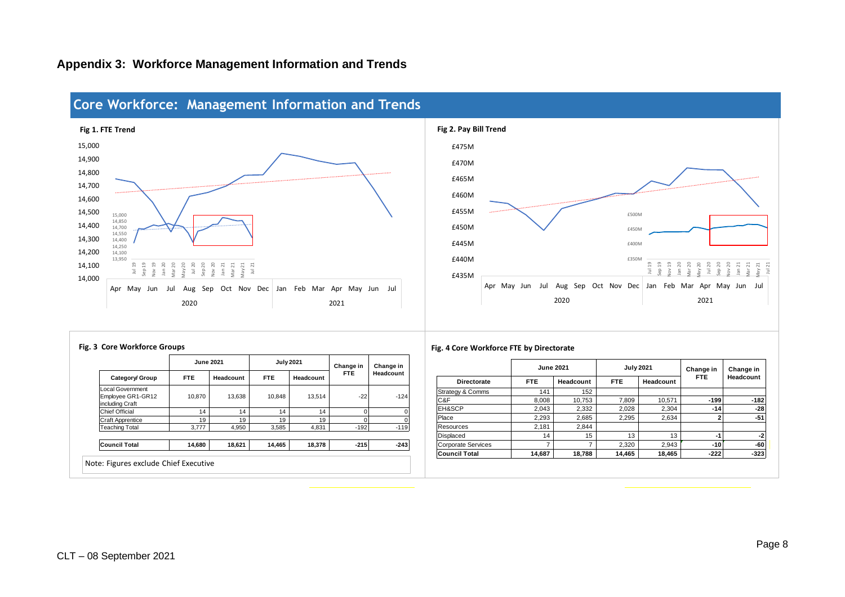### **Appendix 3: Workforce Management Information and Trends**



## **Core Workforce: Management Information and Trends**



|                                                          | <b>June 2021</b> |           | <b>July 2021</b> |           | Change in  | Change in<br>Headcount |  |
|----------------------------------------------------------|------------------|-----------|------------------|-----------|------------|------------------------|--|
| Category/ Group                                          | <b>FTE</b>       | Headcount | FTE              | Headcount | <b>FTE</b> |                        |  |
| Local Government<br>Employee GR1-GR12<br>including Craft | 10.870           | 13.638    | 10.848           | 13.514    | $-22$      | $-124$                 |  |
| <b>Chief Official</b>                                    | 14               | 14        | 14               | 14        | U          |                        |  |
| <b>Craft Apprentice</b>                                  | 19               | 19        | 19               | 19        | U          |                        |  |
| <b>Teaching Total</b>                                    | 3.777            | 4.950     | 3.585            | 4.831     | $-192$     | $-119$                 |  |
|                                                          |                  |           |                  |           |            |                        |  |
| <b>Council Total</b>                                     | 14,680           | 18,621    | 14,465           | 18,378    | $-215$     | $-243$                 |  |

#### **Fig. 3 Core Workforce Groups Fig. 4 Core Workforce FTE by Directorate**

|                           | <b>June 2021</b>        |        | <b>July 2021</b> |           | Change in  | Change in |  |
|---------------------------|-------------------------|--------|------------------|-----------|------------|-----------|--|
| <b>Directorate</b>        | <b>FTE</b><br>Headcount |        | <b>FTE</b>       | Headcount | <b>FTE</b> | Headcount |  |
| Strategy & Comms          | 141                     | 152    |                  |           |            |           |  |
| C&F                       | 8,008                   | 10,753 | 7,809            | 10,571    | $-199$     | $-182$    |  |
| EH&SCP                    | 2.043                   | 2,332  | 2,028            | 2,304     | $-14$      | $-28$     |  |
| Place                     | 2,293                   | 2,685  | 2.295            | 2,634     | 2          | $-51$     |  |
| Resources                 | 2.181                   | 2.844  |                  |           |            |           |  |
| Displaced                 | 14                      | 15     | 13               | 13        | $-1$       | $-2$      |  |
| <b>Corporate Services</b> | ⇁                       | 7      | 2.320            | 2.943     | $-10$      | $-60$     |  |
| <b>Council Total</b>      | 14,687                  | 18,788 | 14,465           | 18,465    | $-222$     | $-323$    |  |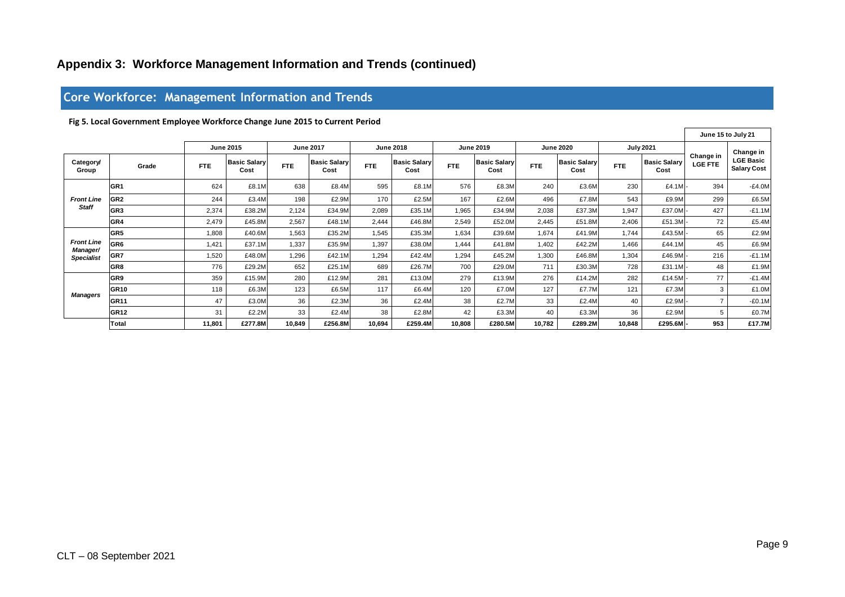### **Appendix 3: Workforce Management Information and Trends (continued)**

### **Core Workforce: Management Information and Trends**

| Fig 5. Local Government Employee Workforce Change June 2015 to Current Period<br><b>June 2015</b><br><b>June 2017</b><br><b>June 2018</b><br><b>June 2020</b><br><b>July 2021</b><br><b>June 2019</b><br>Change in<br><b>Basic Salarv</b><br><b>Basic Salary</b><br><b>Basic Salarv</b><br><b>Basic Salarv</b><br><b>Basic Salary</b><br><b>Basic Salary</b><br>Category/<br><b>LGE FTE</b><br><b>FTE</b><br>FTE<br><b>FTE</b><br><b>FTE</b><br>FTE<br><b>FTE</b><br>Grade<br>Cost<br>Cost<br>Cost<br>Cost<br>Group<br>Cost<br>Cost<br>GR <sub>1</sub><br>576<br>£4.1M<br>624<br>£8.1M<br>638<br>£8.4M<br>595<br>£8.1M<br>£8.3M<br>240<br>£3.6M<br>230<br>394<br>GR <sub>2</sub><br>£2.9M<br>170<br>167<br>496<br>£9.9M<br>299<br><b>Front Line</b><br>244<br>£3.4M<br>198<br>£2.5M<br>£2.6M<br>£7.8M<br>543<br><b>Staff</b><br>GR <sub>3</sub><br>427<br>2,374<br>£38.2M<br>2,089<br>£35.1M<br>£37.3M<br>£37.0M<br>2,124<br>£34.9M<br>1,965<br>£34.9M<br>2,038<br>1,947<br>GR4<br>72<br>2,479<br>£45.8M<br>2.567<br>£48.1M<br>2,444<br>£46.8M<br>2,549<br>£52.0M<br>2.445<br>£51.8M<br>2,406<br>£51.3M<br>GR <sub>5</sub><br>£35.3M<br>£43.5M<br>65<br>£40.6M<br>£35.2M<br>1,545<br>1,634<br>£39.6M<br>1.674<br>£41.9M<br>1,744<br>1,808<br>1,563<br><b>Front Line</b><br>GR <sub>6</sub><br>1.397<br>£38.0M<br>£42.2M<br>£44.1M<br>45<br>1.421<br>£37.1M<br>1.337<br>£35.9M<br>1.444<br>£41.8M<br>1.402<br>1.466<br>Manager/<br>GR7<br>1,294<br>216<br>1,520<br>£48.0M<br>1,296<br>£42.1M<br>£42.4M<br>1,294<br>£45.2M<br>1,300<br>£46.8M<br>1,304<br>£46.9M<br><b>Specialist</b><br>GR <sub>8</sub><br>776<br>689<br>£26.7M<br>711<br>48<br>£29.2M<br>652<br>700<br>£29.0M<br>£30.3M<br>728<br>£31.1M<br>£25.1M<br>77<br>GR9<br>276<br>359<br>280<br>281<br>279<br>£14.2M<br>282<br>£14.5M<br>£15.9M<br>£12.9M<br>£13.0M<br>£13.9M<br>GR <sub>10</sub><br>118<br>117<br>120<br>127<br>£7.7N<br>121<br>£7.3M<br>3<br>£6.3M<br>123<br>£6.5M<br>£6.4M<br>£7.0M<br><b>Managers</b><br>$\overline{7}$<br><b>GR11</b><br>47<br>36<br>33<br>£2.3M<br>36<br>38<br>£2.4M<br>40<br>£2.9M<br>£3.0M<br>£2.4M<br>£2.7M<br>5<br><b>GR12</b><br>31<br>33<br>38<br>£2.4M<br>42<br>40<br>£3.3M<br>36<br>£2.9M<br>£2.2M<br>£2.8M<br>£3.3M<br>£277.8M<br>10,694<br>10,808<br>10,848<br>953<br>Total<br>10,849<br>£256.8M<br>£259.4M<br>£280.5M<br>10,782<br>£289.2M<br>£295.6M<br>11,801 | Core Workforce: Management Information and Trends |  |  |  |  |  |  |  |  |  |  |  |  |                    |           |                                        |
|--------------------------------------------------------------------------------------------------------------------------------------------------------------------------------------------------------------------------------------------------------------------------------------------------------------------------------------------------------------------------------------------------------------------------------------------------------------------------------------------------------------------------------------------------------------------------------------------------------------------------------------------------------------------------------------------------------------------------------------------------------------------------------------------------------------------------------------------------------------------------------------------------------------------------------------------------------------------------------------------------------------------------------------------------------------------------------------------------------------------------------------------------------------------------------------------------------------------------------------------------------------------------------------------------------------------------------------------------------------------------------------------------------------------------------------------------------------------------------------------------------------------------------------------------------------------------------------------------------------------------------------------------------------------------------------------------------------------------------------------------------------------------------------------------------------------------------------------------------------------------------------------------------------------------------------------------------------------------------------------------------------------------------------------------------------------------------------------------------------------------------------------------------------------------------------------------------------------------------------------------------------------------------------------------------------------------------------------------------------------------|---------------------------------------------------|--|--|--|--|--|--|--|--|--|--|--|--|--------------------|-----------|----------------------------------------|
|                                                                                                                                                                                                                                                                                                                                                                                                                                                                                                                                                                                                                                                                                                                                                                                                                                                                                                                                                                                                                                                                                                                                                                                                                                                                                                                                                                                                                                                                                                                                                                                                                                                                                                                                                                                                                                                                                                                                                                                                                                                                                                                                                                                                                                                                                                                                                                          |                                                   |  |  |  |  |  |  |  |  |  |  |  |  |                    |           |                                        |
|                                                                                                                                                                                                                                                                                                                                                                                                                                                                                                                                                                                                                                                                                                                                                                                                                                                                                                                                                                                                                                                                                                                                                                                                                                                                                                                                                                                                                                                                                                                                                                                                                                                                                                                                                                                                                                                                                                                                                                                                                                                                                                                                                                                                                                                                                                                                                                          |                                                   |  |  |  |  |  |  |  |  |  |  |  |  | June 15 to July 21 |           |                                        |
|                                                                                                                                                                                                                                                                                                                                                                                                                                                                                                                                                                                                                                                                                                                                                                                                                                                                                                                                                                                                                                                                                                                                                                                                                                                                                                                                                                                                                                                                                                                                                                                                                                                                                                                                                                                                                                                                                                                                                                                                                                                                                                                                                                                                                                                                                                                                                                          |                                                   |  |  |  |  |  |  |  |  |  |  |  |  |                    | Change in |                                        |
|                                                                                                                                                                                                                                                                                                                                                                                                                                                                                                                                                                                                                                                                                                                                                                                                                                                                                                                                                                                                                                                                                                                                                                                                                                                                                                                                                                                                                                                                                                                                                                                                                                                                                                                                                                                                                                                                                                                                                                                                                                                                                                                                                                                                                                                                                                                                                                          |                                                   |  |  |  |  |  |  |  |  |  |  |  |  |                    |           | <b>LGE Basic</b><br><b>Salary Cost</b> |
|                                                                                                                                                                                                                                                                                                                                                                                                                                                                                                                                                                                                                                                                                                                                                                                                                                                                                                                                                                                                                                                                                                                                                                                                                                                                                                                                                                                                                                                                                                                                                                                                                                                                                                                                                                                                                                                                                                                                                                                                                                                                                                                                                                                                                                                                                                                                                                          |                                                   |  |  |  |  |  |  |  |  |  |  |  |  |                    |           | $-E4.0M$                               |
|                                                                                                                                                                                                                                                                                                                                                                                                                                                                                                                                                                                                                                                                                                                                                                                                                                                                                                                                                                                                                                                                                                                                                                                                                                                                                                                                                                                                                                                                                                                                                                                                                                                                                                                                                                                                                                                                                                                                                                                                                                                                                                                                                                                                                                                                                                                                                                          |                                                   |  |  |  |  |  |  |  |  |  |  |  |  |                    |           | £6.5M                                  |
|                                                                                                                                                                                                                                                                                                                                                                                                                                                                                                                                                                                                                                                                                                                                                                                                                                                                                                                                                                                                                                                                                                                                                                                                                                                                                                                                                                                                                                                                                                                                                                                                                                                                                                                                                                                                                                                                                                                                                                                                                                                                                                                                                                                                                                                                                                                                                                          |                                                   |  |  |  |  |  |  |  |  |  |  |  |  |                    |           | $-E1.1M$                               |
|                                                                                                                                                                                                                                                                                                                                                                                                                                                                                                                                                                                                                                                                                                                                                                                                                                                                                                                                                                                                                                                                                                                                                                                                                                                                                                                                                                                                                                                                                                                                                                                                                                                                                                                                                                                                                                                                                                                                                                                                                                                                                                                                                                                                                                                                                                                                                                          |                                                   |  |  |  |  |  |  |  |  |  |  |  |  |                    |           | £5.4M                                  |
|                                                                                                                                                                                                                                                                                                                                                                                                                                                                                                                                                                                                                                                                                                                                                                                                                                                                                                                                                                                                                                                                                                                                                                                                                                                                                                                                                                                                                                                                                                                                                                                                                                                                                                                                                                                                                                                                                                                                                                                                                                                                                                                                                                                                                                                                                                                                                                          |                                                   |  |  |  |  |  |  |  |  |  |  |  |  |                    |           | £2.9M                                  |
|                                                                                                                                                                                                                                                                                                                                                                                                                                                                                                                                                                                                                                                                                                                                                                                                                                                                                                                                                                                                                                                                                                                                                                                                                                                                                                                                                                                                                                                                                                                                                                                                                                                                                                                                                                                                                                                                                                                                                                                                                                                                                                                                                                                                                                                                                                                                                                          |                                                   |  |  |  |  |  |  |  |  |  |  |  |  |                    |           | £6.9M                                  |
|                                                                                                                                                                                                                                                                                                                                                                                                                                                                                                                                                                                                                                                                                                                                                                                                                                                                                                                                                                                                                                                                                                                                                                                                                                                                                                                                                                                                                                                                                                                                                                                                                                                                                                                                                                                                                                                                                                                                                                                                                                                                                                                                                                                                                                                                                                                                                                          |                                                   |  |  |  |  |  |  |  |  |  |  |  |  |                    |           | $-E1.1M$                               |
|                                                                                                                                                                                                                                                                                                                                                                                                                                                                                                                                                                                                                                                                                                                                                                                                                                                                                                                                                                                                                                                                                                                                                                                                                                                                                                                                                                                                                                                                                                                                                                                                                                                                                                                                                                                                                                                                                                                                                                                                                                                                                                                                                                                                                                                                                                                                                                          |                                                   |  |  |  |  |  |  |  |  |  |  |  |  |                    |           | £1.9M                                  |
|                                                                                                                                                                                                                                                                                                                                                                                                                                                                                                                                                                                                                                                                                                                                                                                                                                                                                                                                                                                                                                                                                                                                                                                                                                                                                                                                                                                                                                                                                                                                                                                                                                                                                                                                                                                                                                                                                                                                                                                                                                                                                                                                                                                                                                                                                                                                                                          |                                                   |  |  |  |  |  |  |  |  |  |  |  |  |                    |           | $-E1.4M$                               |
|                                                                                                                                                                                                                                                                                                                                                                                                                                                                                                                                                                                                                                                                                                                                                                                                                                                                                                                                                                                                                                                                                                                                                                                                                                                                                                                                                                                                                                                                                                                                                                                                                                                                                                                                                                                                                                                                                                                                                                                                                                                                                                                                                                                                                                                                                                                                                                          |                                                   |  |  |  |  |  |  |  |  |  |  |  |  |                    |           | £1.0M                                  |
|                                                                                                                                                                                                                                                                                                                                                                                                                                                                                                                                                                                                                                                                                                                                                                                                                                                                                                                                                                                                                                                                                                                                                                                                                                                                                                                                                                                                                                                                                                                                                                                                                                                                                                                                                                                                                                                                                                                                                                                                                                                                                                                                                                                                                                                                                                                                                                          |                                                   |  |  |  |  |  |  |  |  |  |  |  |  |                    |           | $-E0.1M$                               |
|                                                                                                                                                                                                                                                                                                                                                                                                                                                                                                                                                                                                                                                                                                                                                                                                                                                                                                                                                                                                                                                                                                                                                                                                                                                                                                                                                                                                                                                                                                                                                                                                                                                                                                                                                                                                                                                                                                                                                                                                                                                                                                                                                                                                                                                                                                                                                                          |                                                   |  |  |  |  |  |  |  |  |  |  |  |  |                    |           | £0.7M                                  |
|                                                                                                                                                                                                                                                                                                                                                                                                                                                                                                                                                                                                                                                                                                                                                                                                                                                                                                                                                                                                                                                                                                                                                                                                                                                                                                                                                                                                                                                                                                                                                                                                                                                                                                                                                                                                                                                                                                                                                                                                                                                                                                                                                                                                                                                                                                                                                                          |                                                   |  |  |  |  |  |  |  |  |  |  |  |  |                    |           | £17.7M                                 |
|                                                                                                                                                                                                                                                                                                                                                                                                                                                                                                                                                                                                                                                                                                                                                                                                                                                                                                                                                                                                                                                                                                                                                                                                                                                                                                                                                                                                                                                                                                                                                                                                                                                                                                                                                                                                                                                                                                                                                                                                                                                                                                                                                                                                                                                                                                                                                                          |                                                   |  |  |  |  |  |  |  |  |  |  |  |  |                    |           |                                        |

#### **Fig 5. Local Government Employee Workforce Change June 2015 to Current Period**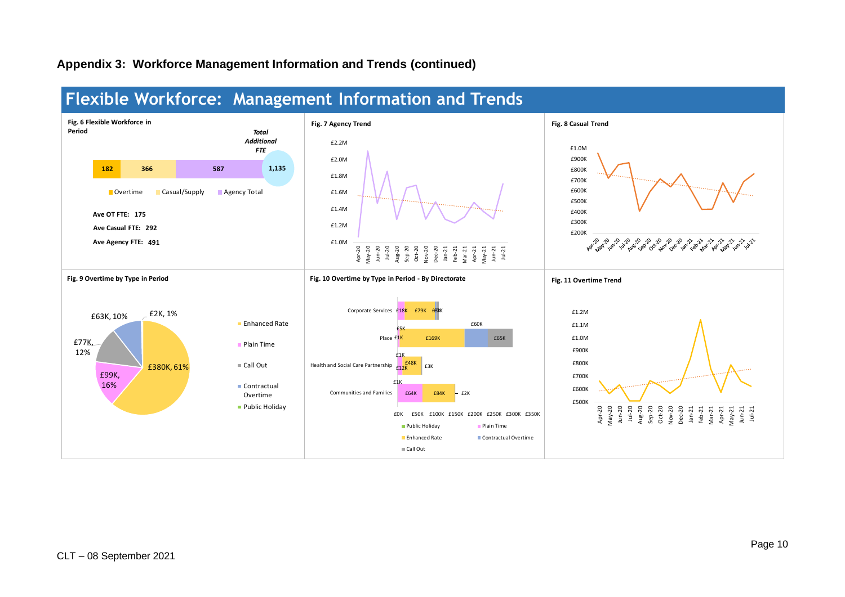### **Appendix 3: Workforce Management Information and Trends (continued)**